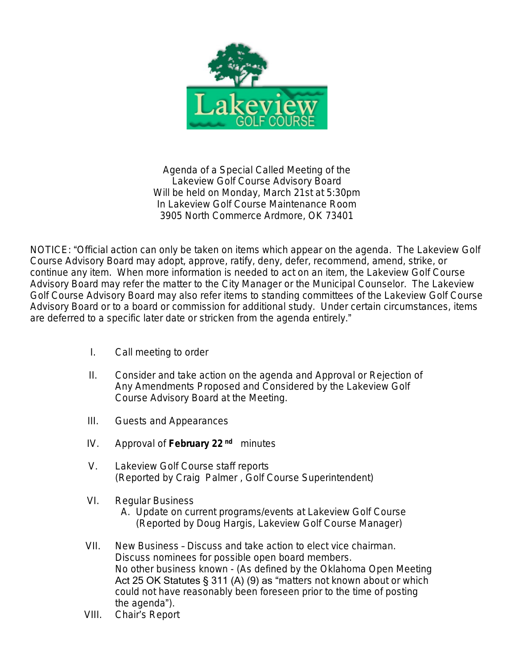

Agenda of a Special Called Meeting of the Lakeview Golf Course Advisory Board Will be held on Monday, March 21st at 5:30pm In Lakeview Golf Course Maintenance Room 3905 North Commerce Ardmore, OK 73401

NOTICE: "Official action can only be taken on items which appear on the agenda. The Lakeview Golf Course Advisory Board may adopt, approve, ratify, deny, defer, recommend, amend, strike, or continue any item. When more information is needed to act on an item, the Lakeview Golf Course Advisory Board may refer the matter to the City Manager or the Municipal Counselor. The Lakeview Golf Course Advisory Board may also refer items to standing committees of the Lakeview Golf Course Advisory Board or to a board or commission for additional study. Under certain circumstances, items are deferred to a specific later date or stricken from the agenda entirely."

- I. Call meeting to order
- II. Consider and take action on the agenda and Approval or Rejection of Any Amendments Proposed and Considered by the Lakeview Golf Course Advisory Board at the Meeting.
- III. Guests and Appearances
- IV. Approval of **February 22 nd** minutes
- V. Lakeview Golf Course staff reports (Reported by Craig Palmer , Golf Course Superintendent)
- VI. Regular Business
	- A. Update on current programs/events at Lakeview Golf Course (Reported by Doug Hargis, Lakeview Golf Course Manager)
- VII. New Business Discuss and take action to elect vice chairman. Discuss nominees for possible open board members. No other business known - (As defined by the Oklahoma Open Meeting Act 25 OK Statutes § 311 (A) (9) as "matters not known about or which could not have reasonably been foreseen prior to the time of posting the agenda").
- VIII. Chair's Report